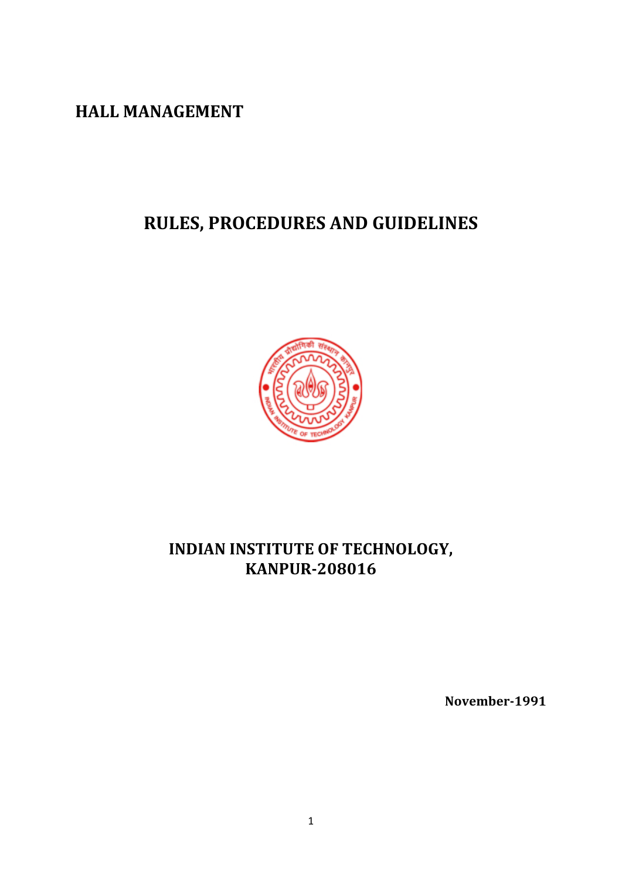**HALL MANAGEMENT** 

# **RULES, PROCEDURES AND GUIDELINES**



# **INDIAN INSTITUTE OF TECHNOLOGY, KANPUR-208016**

**November-1991**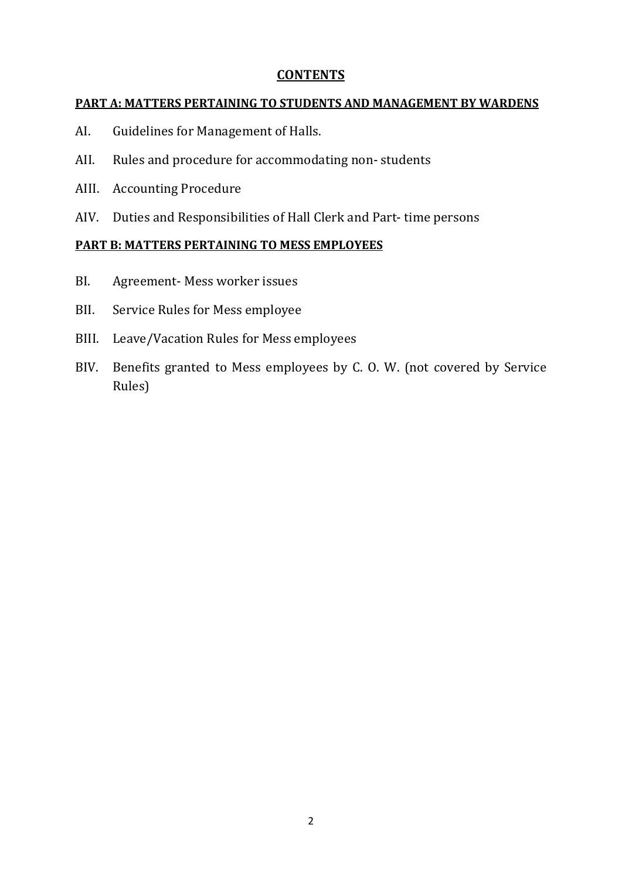#### **CONTENTS**

#### **PART A: MATTERS PERTAINING TO STUDENTS AND MANAGEMENT BY WARDENS**

- AI. Guidelines for Management of Halls.
- AII. Rules and procedure for accommodating non- students
- AIII. Accounting Procedure
- AIV. Duties and Responsibilities of Hall Clerk and Part- time persons

#### **PART B: MATTERS PERTAINING TO MESS EMPLOYEES**

- BI. Agreement- Mess worker issues
- BII. Service Rules for Mess employee
- BIII. Leave/Vacation Rules for Mess employees
- BIV. Benefits granted to Mess employees by C. O. W. (not covered by Service Rules)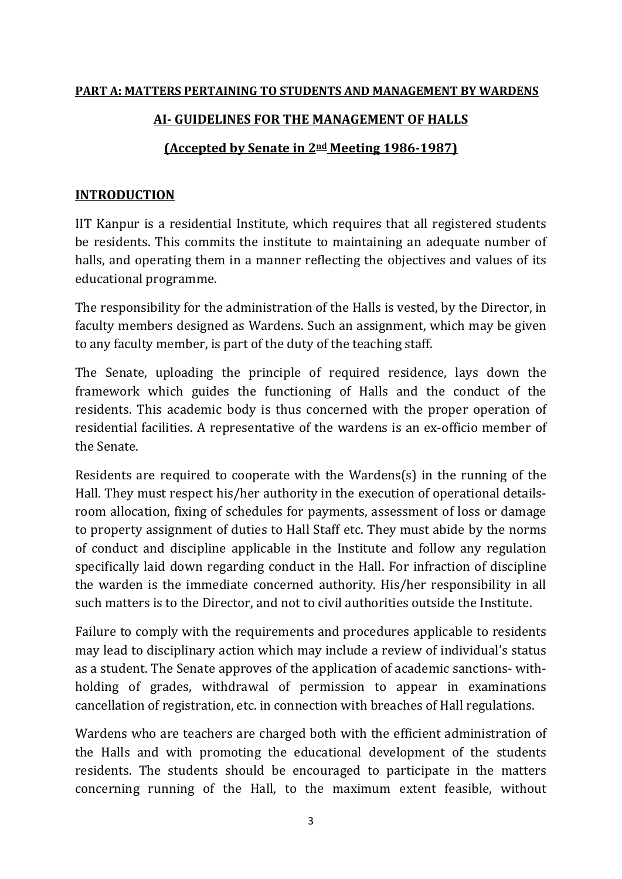# **PART A: MATTERS PERTAINING TO STUDENTS AND MANAGEMENT BY WARDENS**

# **AI- GUIDELINES FOR THE MANAGEMENT OF HALLS**

### **(Accepted by Senate in 2nd Meeting 1986-1987)**

#### **INTRODUCTION**

IIT Kanpur is a residential Institute, which requires that all registered students be residents. This commits the institute to maintaining an adequate number of halls, and operating them in a manner reflecting the objectives and values of its educational programme.

The responsibility for the administration of the Halls is vested, by the Director, in faculty members designed as Wardens. Such an assignment, which may be given to any faculty member, is part of the duty of the teaching staff.

The Senate, uploading the principle of required residence, lays down the framework which guides the functioning of Halls and the conduct of the residents. This academic body is thus concerned with the proper operation of residential facilities. A representative of the wardens is an ex-officio member of the Senate.

Residents are required to cooperate with the Wardens(s) in the running of the Hall. They must respect his/her authority in the execution of operational detailsroom allocation, fixing of schedules for payments, assessment of loss or damage to property assignment of duties to Hall Staff etc. They must abide by the norms of conduct and discipline applicable in the Institute and follow any regulation specifically laid down regarding conduct in the Hall. For infraction of discipline the warden is the immediate concerned authority. His/her responsibility in all such matters is to the Director, and not to civil authorities outside the Institute.

Failure to comply with the requirements and procedures applicable to residents may lead to disciplinary action which may include a review of individual's status as a student. The Senate approves of the application of academic sanctions- withholding of grades, withdrawal of permission to appear in examinations cancellation of registration, etc. in connection with breaches of Hall regulations.

Wardens who are teachers are charged both with the efficient administration of the Halls and with promoting the educational development of the students residents. The students should be encouraged to participate in the matters concerning running of the Hall, to the maximum extent feasible, without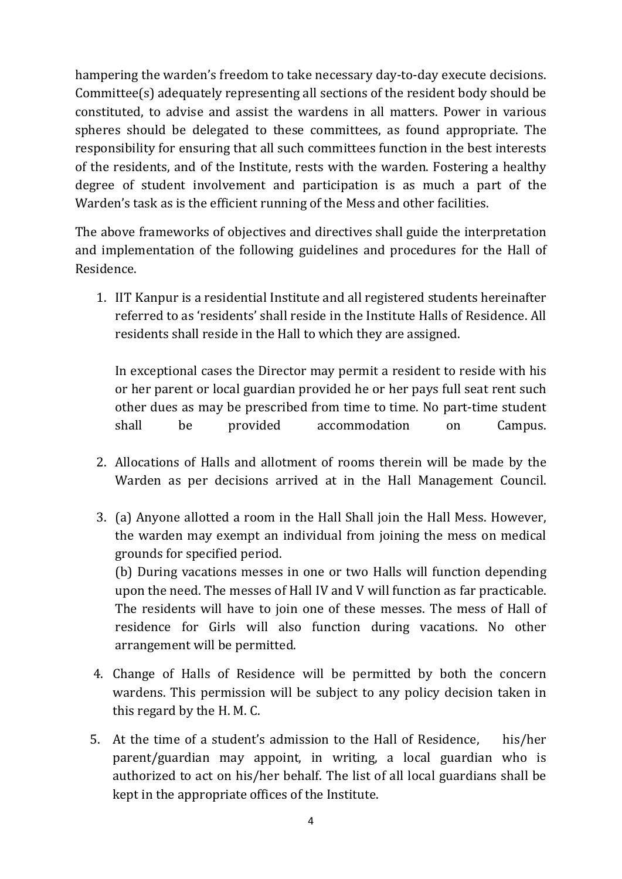hampering the warden's freedom to take necessary day-to-day execute decisions. Committee(s) adequately representing all sections of the resident body should be constituted, to advise and assist the wardens in all matters. Power in various spheres should be delegated to these committees, as found appropriate. The responsibility for ensuring that all such committees function in the best interests of the residents, and of the Institute, rests with the warden. Fostering a healthy degree of student involvement and participation is as much a part of the Warden's task as is the efficient running of the Mess and other facilities.

The above frameworks of objectives and directives shall guide the interpretation and implementation of the following guidelines and procedures for the Hall of Residence.

1. IIT Kanpur is a residential Institute and all registered students hereinafter referred to as 'residents' shall reside in the Institute Halls of Residence. All residents shall reside in the Hall to which they are assigned.

In exceptional cases the Director may permit a resident to reside with his or her parent or local guardian provided he or her pays full seat rent such other dues as may be prescribed from time to time. No part-time student shall be provided accommodation on Campus.

- 2. Allocations of Halls and allotment of rooms therein will be made by the Warden as per decisions arrived at in the Hall Management Council.
- 3. (a) Anyone allotted a room in the Hall Shall join the Hall Mess. However, the warden may exempt an individual from joining the mess on medical grounds for specified period.

(b) During vacations messes in one or two Halls will function depending upon the need. The messes of Hall IV and V will function as far practicable. The residents will have to join one of these messes. The mess of Hall of residence for Girls will also function during vacations. No other arrangement will be permitted.

- 4. Change of Halls of Residence will be permitted by both the concern wardens. This permission will be subject to any policy decision taken in this regard by the H. M. C.
- 5. At the time of a student's admission to the Hall of Residence, his/her parent/guardian may appoint, in writing, a local guardian who is authorized to act on his/her behalf. The list of all local guardians shall be kept in the appropriate offices of the Institute.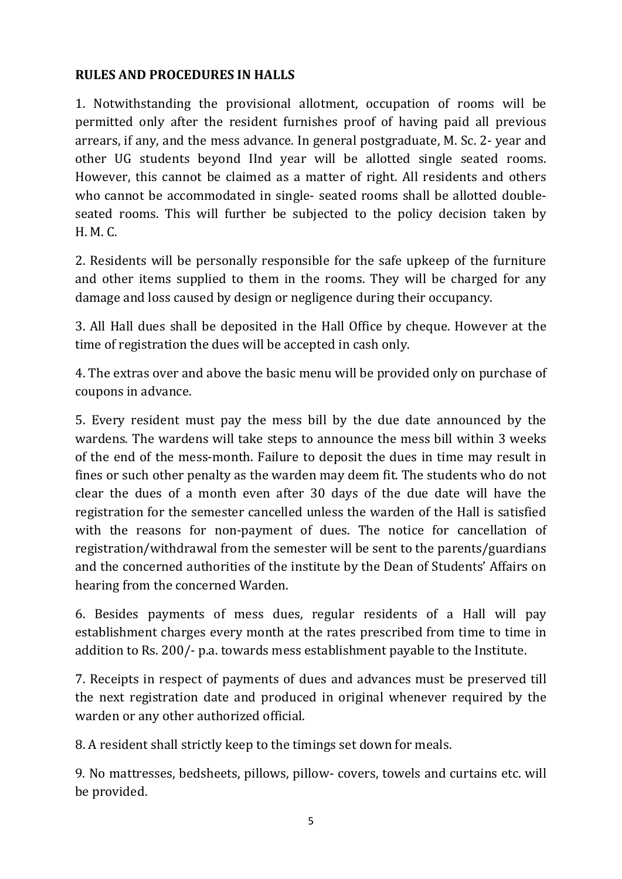# **RULES AND PROCEDURES IN HALLS**

1. Notwithstanding the provisional allotment, occupation of rooms will be permitted only after the resident furnishes proof of having paid all previous arrears, if any, and the mess advance. In general postgraduate, M. Sc. 2- year and other UG students beyond IInd year will be allotted single seated rooms. However, this cannot be claimed as a matter of right. All residents and others who cannot be accommodated in single- seated rooms shall be allotted doubleseated rooms. This will further be subjected to the policy decision taken by H. M. C.

2. Residents will be personally responsible for the safe upkeep of the furniture and other items supplied to them in the rooms. They will be charged for any damage and loss caused by design or negligence during their occupancy.

3. All Hall dues shall be deposited in the Hall Office by cheque. However at the time of registration the dues will be accepted in cash only.

4. The extras over and above the basic menu will be provided only on purchase of coupons in advance.

5. Every resident must pay the mess bill by the due date announced by the wardens. The wardens will take steps to announce the mess bill within 3 weeks of the end of the mess-month. Failure to deposit the dues in time may result in fines or such other penalty as the warden may deem fit. The students who do not clear the dues of a month even after 30 days of the due date will have the registration for the semester cancelled unless the warden of the Hall is satisfied with the reasons for non-payment of dues. The notice for cancellation of registration/withdrawal from the semester will be sent to the parents/guardians and the concerned authorities of the institute by the Dean of Students' Affairs on hearing from the concerned Warden.

6. Besides payments of mess dues, regular residents of a Hall will pay establishment charges every month at the rates prescribed from time to time in addition to Rs. 200/- p.a. towards mess establishment payable to the Institute.

7. Receipts in respect of payments of dues and advances must be preserved till the next registration date and produced in original whenever required by the warden or any other authorized official.

8. A resident shall strictly keep to the timings set down for meals.

9. No mattresses, bedsheets, pillows, pillow- covers, towels and curtains etc. will be provided.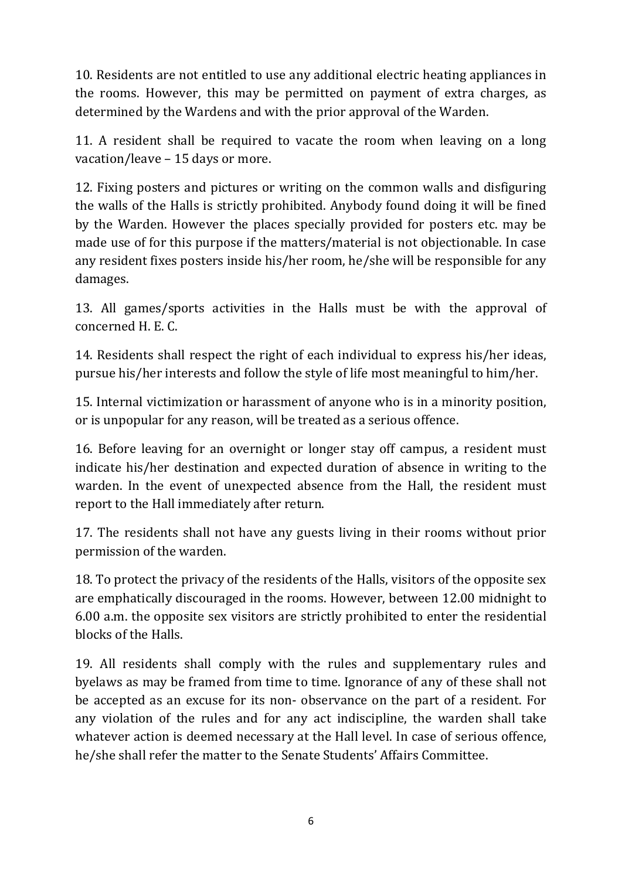10. Residents are not entitled to use any additional electric heating appliances in the rooms. However, this may be permitted on payment of extra charges, as determined by the Wardens and with the prior approval of the Warden.

11. A resident shall be required to vacate the room when leaving on a long vacation/leave – 15 days or more.

12. Fixing posters and pictures or writing on the common walls and disfiguring the walls of the Halls is strictly prohibited. Anybody found doing it will be fined by the Warden. However the places specially provided for posters etc. may be made use of for this purpose if the matters/material is not objectionable. In case any resident fixes posters inside his/her room, he/she will be responsible for any damages.

13. All games/sports activities in the Halls must be with the approval of concerned H. E. C.

14. Residents shall respect the right of each individual to express his/her ideas, pursue his/her interests and follow the style of life most meaningful to him/her.

15. Internal victimization or harassment of anyone who is in a minority position, or is unpopular for any reason, will be treated as a serious offence.

16. Before leaving for an overnight or longer stay off campus, a resident must indicate his/her destination and expected duration of absence in writing to the warden. In the event of unexpected absence from the Hall, the resident must report to the Hall immediately after return.

17. The residents shall not have any guests living in their rooms without prior permission of the warden.

18. To protect the privacy of the residents of the Halls, visitors of the opposite sex are emphatically discouraged in the rooms. However, between 12.00 midnight to 6.00 a.m. the opposite sex visitors are strictly prohibited to enter the residential blocks of the Halls.

19. All residents shall comply with the rules and supplementary rules and byelaws as may be framed from time to time. Ignorance of any of these shall not be accepted as an excuse for its non- observance on the part of a resident. For any violation of the rules and for any act indiscipline, the warden shall take whatever action is deemed necessary at the Hall level. In case of serious offence, he/she shall refer the matter to the Senate Students' Affairs Committee.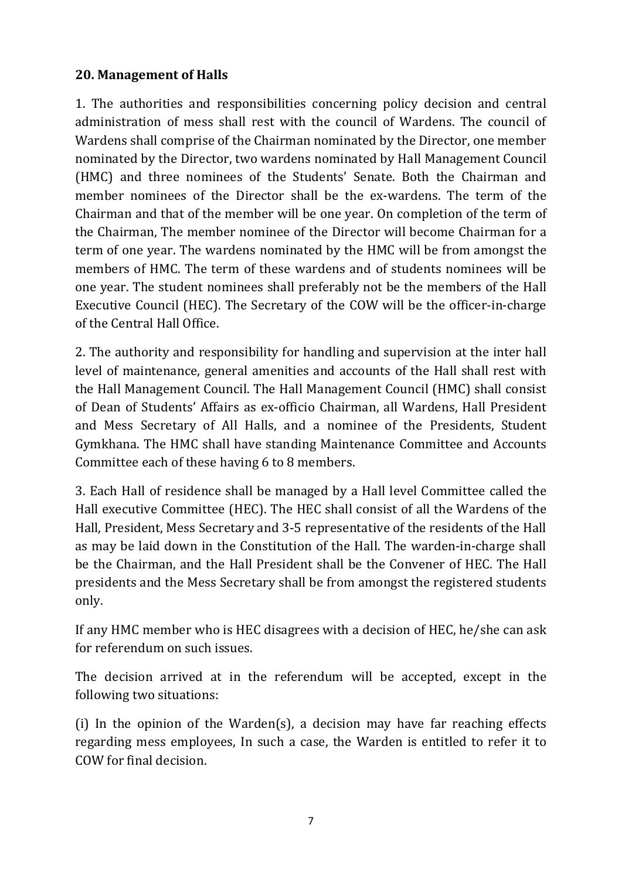# **20. Management of Halls**

1. The authorities and responsibilities concerning policy decision and central administration of mess shall rest with the council of Wardens. The council of Wardens shall comprise of the Chairman nominated by the Director, one member nominated by the Director, two wardens nominated by Hall Management Council (HMC) and three nominees of the Students' Senate. Both the Chairman and member nominees of the Director shall be the ex-wardens. The term of the Chairman and that of the member will be one year. On completion of the term of the Chairman, The member nominee of the Director will become Chairman for a term of one year. The wardens nominated by the HMC will be from amongst the members of HMC. The term of these wardens and of students nominees will be one year. The student nominees shall preferably not be the members of the Hall Executive Council (HEC). The Secretary of the COW will be the officer-in-charge of the Central Hall Office.

2. The authority and responsibility for handling and supervision at the inter hall level of maintenance, general amenities and accounts of the Hall shall rest with the Hall Management Council. The Hall Management Council (HMC) shall consist of Dean of Students' Affairs as ex-officio Chairman, all Wardens, Hall President and Mess Secretary of All Halls, and a nominee of the Presidents, Student Gymkhana. The HMC shall have standing Maintenance Committee and Accounts Committee each of these having 6 to 8 members.

3. Each Hall of residence shall be managed by a Hall level Committee called the Hall executive Committee (HEC). The HEC shall consist of all the Wardens of the Hall, President, Mess Secretary and 3-5 representative of the residents of the Hall as may be laid down in the Constitution of the Hall. The warden-in-charge shall be the Chairman, and the Hall President shall be the Convener of HEC. The Hall presidents and the Mess Secretary shall be from amongst the registered students only.

If any HMC member who is HEC disagrees with a decision of HEC, he/she can ask for referendum on such issues.

The decision arrived at in the referendum will be accepted, except in the following two situations:

(i) In the opinion of the Warden(s), a decision may have far reaching effects regarding mess employees, In such a case, the Warden is entitled to refer it to COW for final decision.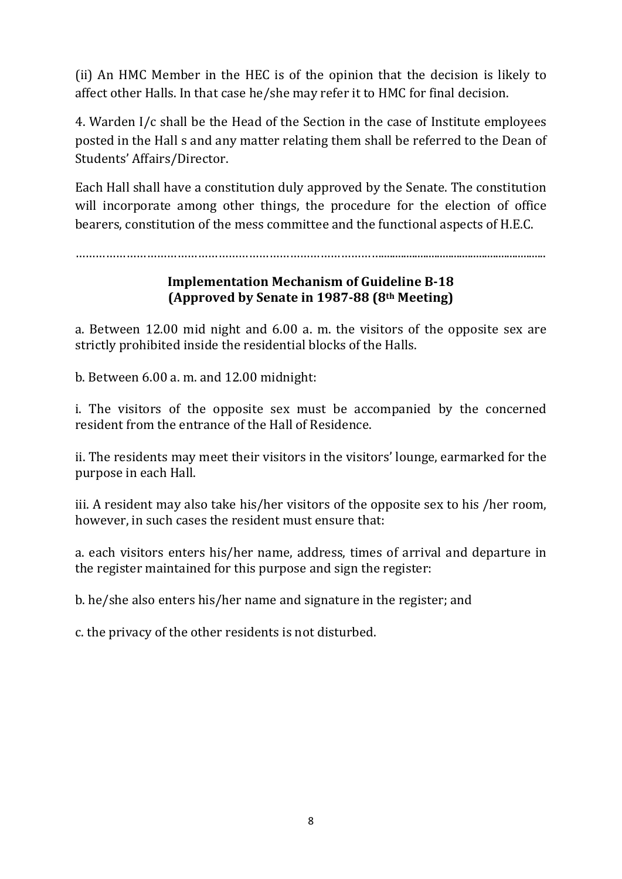(ii) An HMC Member in the HEC is of the opinion that the decision is likely to affect other Halls. In that case he/she may refer it to HMC for final decision.

4. Warden I/c shall be the Head of the Section in the case of Institute employees posted in the Hall s and any matter relating them shall be referred to the Dean of Students' Affairs/Director.

Each Hall shall have a constitution duly approved by the Senate. The constitution will incorporate among other things, the procedure for the election of office bearers, constitution of the mess committee and the functional aspects of H.E.C.

………………………………………………………………………………...........................................................

### **Implementation Mechanism of Guideline B-18 (Approved by Senate in 1987-88 (8th Meeting)**

a. Between 12.00 mid night and 6.00 a. m. the visitors of the opposite sex are strictly prohibited inside the residential blocks of the Halls.

b. Between 6.00 a. m. and 12.00 midnight:

i. The visitors of the opposite sex must be accompanied by the concerned resident from the entrance of the Hall of Residence.

ii. The residents may meet their visitors in the visitors' lounge, earmarked for the purpose in each Hall.

iii. A resident may also take his/her visitors of the opposite sex to his /her room, however, in such cases the resident must ensure that:

a. each visitors enters his/her name, address, times of arrival and departure in the register maintained for this purpose and sign the register:

b. he/she also enters his/her name and signature in the register; and

c. the privacy of the other residents is not disturbed.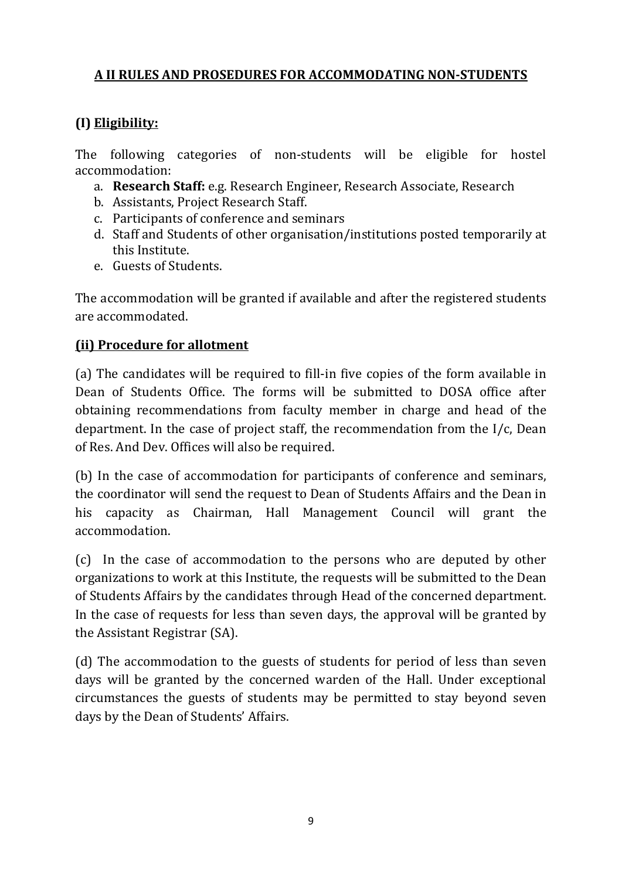# **A II RULES AND PROSEDURES FOR ACCOMMODATING NON-STUDENTS**

# **(I) Eligibility:**

The following categories of non-students will be eligible for hostel accommodation:

- a. **Research Staff:** e.g. Research Engineer, Research Associate, Research
- b. Assistants, Project Research Staff.
- c. Participants of conference and seminars
- d. Staff and Students of other organisation/institutions posted temporarily at this Institute.
- e. Guests of Students.

The accommodation will be granted if available and after the registered students are accommodated.

# **(ii) Procedure for allotment**

(a) The candidates will be required to fill-in five copies of the form available in Dean of Students Office. The forms will be submitted to DOSA office after obtaining recommendations from faculty member in charge and head of the department. In the case of project staff, the recommendation from the I/c, Dean of Res. And Dev. Offices will also be required.

(b) In the case of accommodation for participants of conference and seminars, the coordinator will send the request to Dean of Students Affairs and the Dean in his capacity as Chairman, Hall Management Council will grant the accommodation.

(c) In the case of accommodation to the persons who are deputed by other organizations to work at this Institute, the requests will be submitted to the Dean of Students Affairs by the candidates through Head of the concerned department. In the case of requests for less than seven days, the approval will be granted by the Assistant Registrar (SA).

(d) The accommodation to the guests of students for period of less than seven days will be granted by the concerned warden of the Hall. Under exceptional circumstances the guests of students may be permitted to stay beyond seven days by the Dean of Students' Affairs.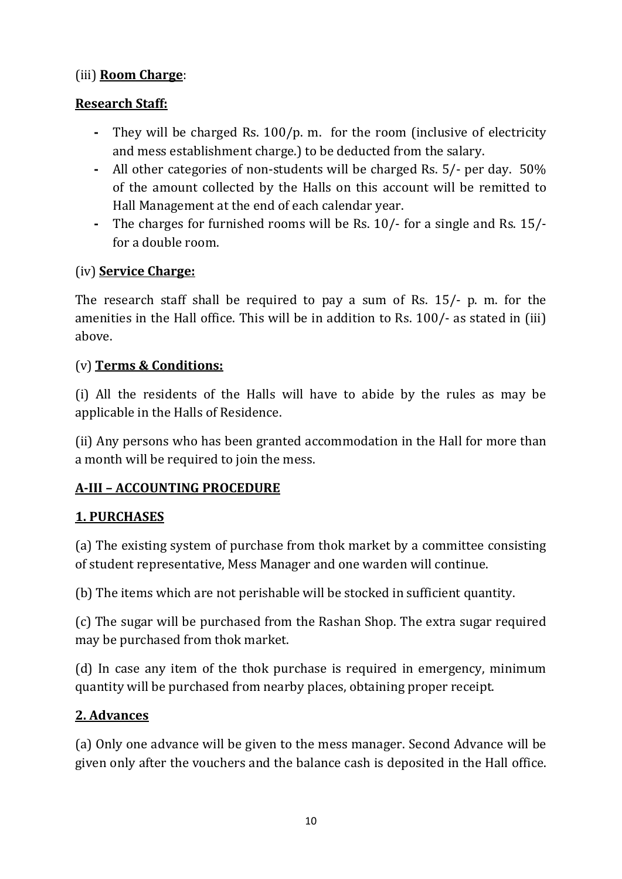# (iii) **Room Charge**:

# **Research Staff:**

- **-** They will be charged Rs. 100/p. m. for the room (inclusive of electricity and mess establishment charge.) to be deducted from the salary.
- **-** All other categories of non-students will be charged Rs. 5/- per day. 50% of the amount collected by the Halls on this account will be remitted to Hall Management at the end of each calendar year.
- **-** The charges for furnished rooms will be Rs. 10/- for a single and Rs. 15/ for a double room.

# (iv) **Service Charge:**

The research staff shall be required to pay a sum of Rs. 15/- p. m. for the amenities in the Hall office. This will be in addition to Rs. 100/- as stated in (iii) above.

# (v) **Terms & Conditions:**

(i) All the residents of the Halls will have to abide by the rules as may be applicable in the Halls of Residence.

(ii) Any persons who has been granted accommodation in the Hall for more than a month will be required to join the mess.

# **A-III – ACCOUNTING PROCEDURE**

# **1. PURCHASES**

(a) The existing system of purchase from thok market by a committee consisting of student representative, Mess Manager and one warden will continue.

(b) The items which are not perishable will be stocked in sufficient quantity.

(c) The sugar will be purchased from the Rashan Shop. The extra sugar required may be purchased from thok market.

(d) In case any item of the thok purchase is required in emergency, minimum quantity will be purchased from nearby places, obtaining proper receipt.

# **2. Advances**

(a) Only one advance will be given to the mess manager. Second Advance will be given only after the vouchers and the balance cash is deposited in the Hall office.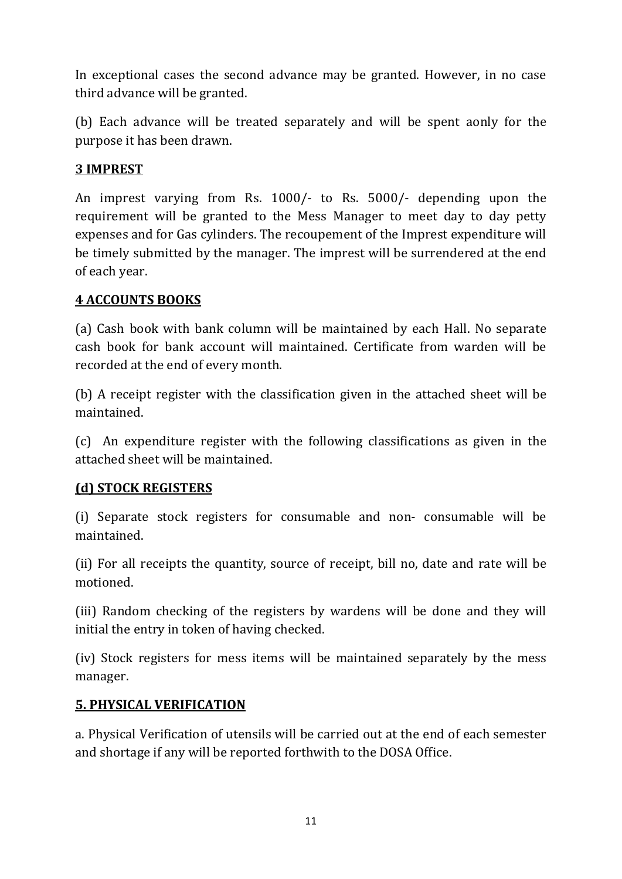In exceptional cases the second advance may be granted. However, in no case third advance will be granted.

(b) Each advance will be treated separately and will be spent aonly for the purpose it has been drawn.

# **3 IMPREST**

An imprest varying from Rs. 1000/- to Rs. 5000/- depending upon the requirement will be granted to the Mess Manager to meet day to day petty expenses and for Gas cylinders. The recoupement of the Imprest expenditure will be timely submitted by the manager. The imprest will be surrendered at the end of each year.

#### **4 ACCOUNTS BOOKS**

(a) Cash book with bank column will be maintained by each Hall. No separate cash book for bank account will maintained. Certificate from warden will be recorded at the end of every month.

(b) A receipt register with the classification given in the attached sheet will be maintained.

(c) An expenditure register with the following classifications as given in the attached sheet will be maintained.

#### **(d) STOCK REGISTERS**

(i) Separate stock registers for consumable and non- consumable will be maintained.

(ii) For all receipts the quantity, source of receipt, bill no, date and rate will be motioned.

(iii) Random checking of the registers by wardens will be done and they will initial the entry in token of having checked.

(iv) Stock registers for mess items will be maintained separately by the mess manager.

#### **5. PHYSICAL VERIFICATION**

a. Physical Verification of utensils will be carried out at the end of each semester and shortage if any will be reported forthwith to the DOSA Office.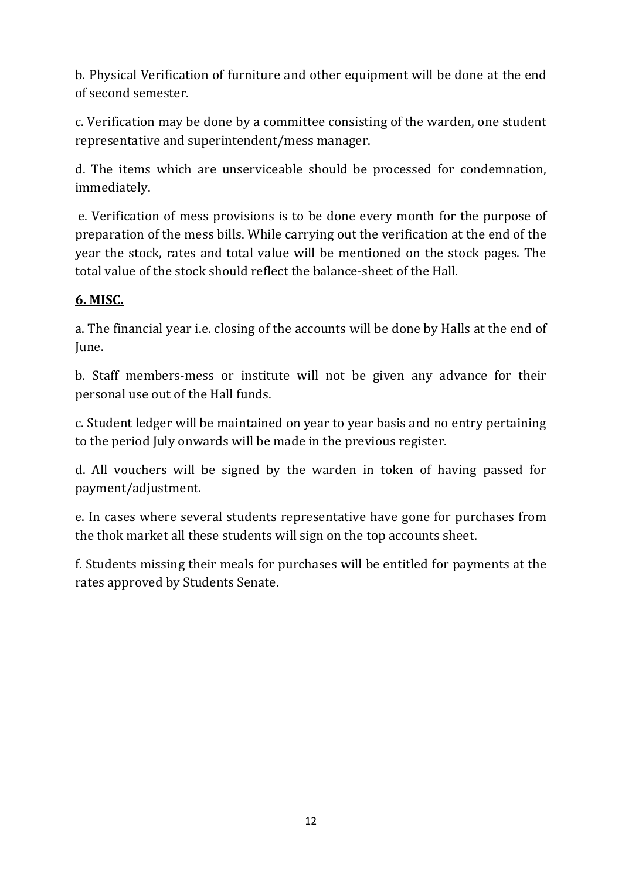b. Physical Verification of furniture and other equipment will be done at the end of second semester.

c. Verification may be done by a committee consisting of the warden, one student representative and superintendent/mess manager.

d. The items which are unserviceable should be processed for condemnation, immediately.

e. Verification of mess provisions is to be done every month for the purpose of preparation of the mess bills. While carrying out the verification at the end of the year the stock, rates and total value will be mentioned on the stock pages. The total value of the stock should reflect the balance-sheet of the Hall.

# **6. MISC.**

a. The financial year i.e. closing of the accounts will be done by Halls at the end of June.

b. Staff members-mess or institute will not be given any advance for their personal use out of the Hall funds.

c. Student ledger will be maintained on year to year basis and no entry pertaining to the period July onwards will be made in the previous register.

d. All vouchers will be signed by the warden in token of having passed for payment/adjustment.

e. In cases where several students representative have gone for purchases from the thok market all these students will sign on the top accounts sheet.

f. Students missing their meals for purchases will be entitled for payments at the rates approved by Students Senate.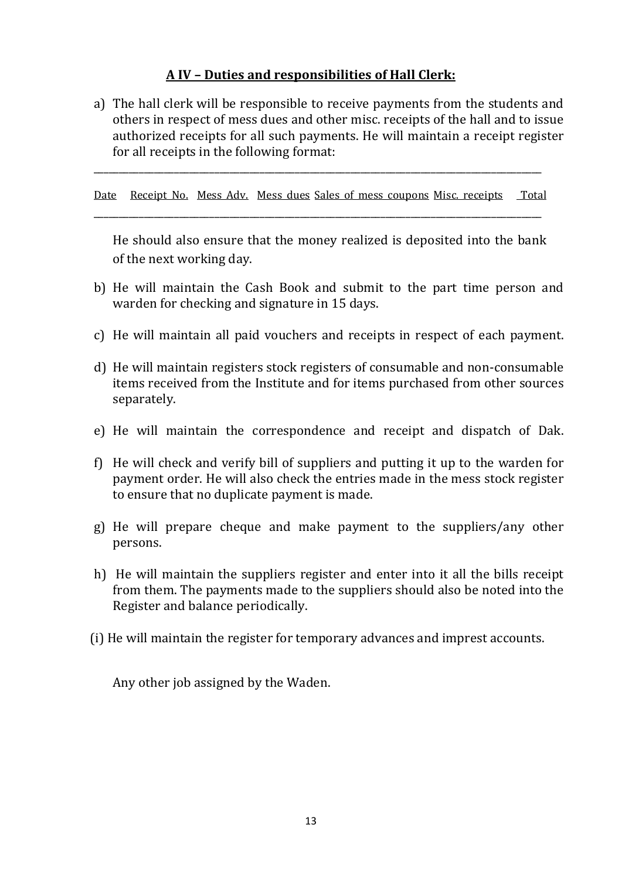#### **A IV – Duties and responsibilities of Hall Clerk:**

a) The hall clerk will be responsible to receive payments from the students and others in respect of mess dues and other misc. receipts of the hall and to issue authorized receipts for all such payments. He will maintain a receipt register for all receipts in the following format:

Date Receipt No. Mess Adv. Mess dues Sales of mess coupons Misc. receipts Total

\_\_\_\_\_\_\_\_\_\_\_\_\_\_\_\_\_\_\_\_\_\_\_\_\_\_\_\_\_\_\_\_\_\_\_\_\_\_\_\_\_\_\_\_\_\_\_\_\_\_\_\_\_\_\_\_\_\_\_\_\_\_\_\_\_\_\_\_\_\_\_\_\_\_\_\_\_\_\_\_\_\_\_\_\_\_\_\_\_

\_\_\_\_\_\_\_\_\_\_\_\_\_\_\_\_\_\_\_\_\_\_\_\_\_\_\_\_\_\_\_\_\_\_\_\_\_\_\_\_\_\_\_\_\_\_\_\_\_\_\_\_\_\_\_\_\_\_\_\_\_\_\_\_\_\_\_\_\_\_\_\_\_\_\_\_\_\_\_\_\_\_\_\_\_\_\_\_\_

He should also ensure that the money realized is deposited into the bank of the next working day.

- b) He will maintain the Cash Book and submit to the part time person and warden for checking and signature in 15 days.
- c) He will maintain all paid vouchers and receipts in respect of each payment.
- d) He will maintain registers stock registers of consumable and non-consumable items received from the Institute and for items purchased from other sources separately.
- e) He will maintain the correspondence and receipt and dispatch of Dak.
- f) He will check and verify bill of suppliers and putting it up to the warden for payment order. He will also check the entries made in the mess stock register to ensure that no duplicate payment is made.
- g) He will prepare cheque and make payment to the suppliers/any other persons.
- h) He will maintain the suppliers register and enter into it all the bills receipt from them. The payments made to the suppliers should also be noted into the Register and balance periodically.
- (i) He will maintain the register for temporary advances and imprest accounts.

Any other job assigned by the Waden.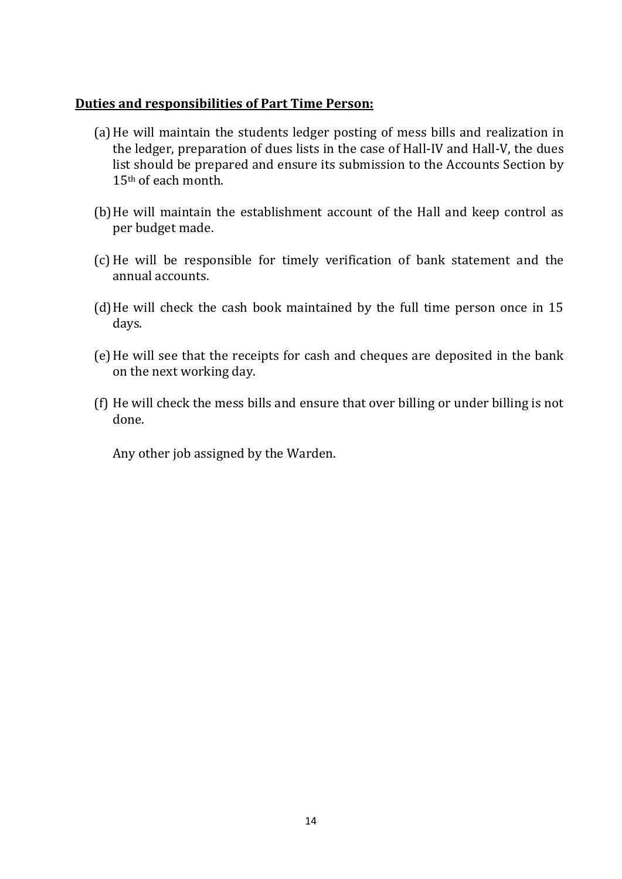#### **Duties and responsibilities of Part Time Person:**

- (a)He will maintain the students ledger posting of mess bills and realization in the ledger, preparation of dues lists in the case of Hall-IV and Hall-V, the dues list should be prepared and ensure its submission to the Accounts Section by 15th of each month.
- (b)He will maintain the establishment account of the Hall and keep control as per budget made.
- (c) He will be responsible for timely verification of bank statement and the annual accounts.
- (d)He will check the cash book maintained by the full time person once in 15 days.
- (e)He will see that the receipts for cash and cheques are deposited in the bank on the next working day.
- (f) He will check the mess bills and ensure that over billing or under billing is not done.

Any other job assigned by the Warden.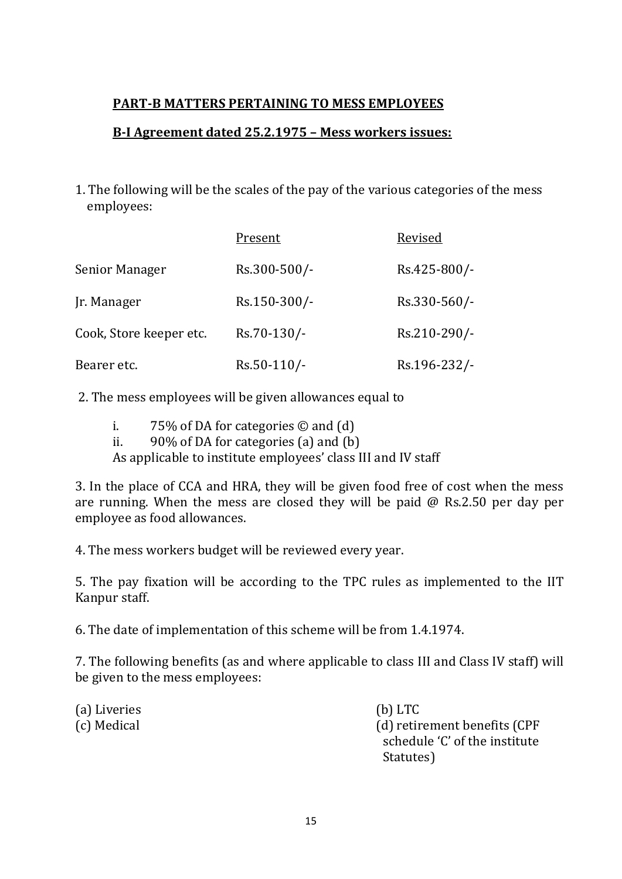# **PART-B MATTERS PERTAINING TO MESS EMPLOYEES**

# **B-I Agreement dated 25.2.1975 – Mess workers issues:**

1. The following will be the scales of the pay of the various categories of the mess employees:

|                         | Present        | Revised      |  |  |  |  |  |
|-------------------------|----------------|--------------|--|--|--|--|--|
| Senior Manager          | Rs.300-500/-   | Rs.425-800/- |  |  |  |  |  |
| Jr. Manager             | Rs.150-300/-   | Rs.330-560/- |  |  |  |  |  |
| Cook, Store keeper etc. | Rs.70-130/-    | Rs.210-290/- |  |  |  |  |  |
| Bearer etc.             | $Rs.50-110/$ - | Rs.196-232/- |  |  |  |  |  |

2. The mess employees will be given allowances equal to

- i. 75% of DA for categories  $\odot$  and  $(d)$ <br>ii. 90% of DA for categories (a) and  $(b)$
- $90\%$  of DA for categories (a) and (b)

As applicable to institute employees' class III and IV staff

3. In the place of CCA and HRA, they will be given food free of cost when the mess are running. When the mess are closed they will be paid @ Rs.2.50 per day per employee as food allowances.

4. The mess workers budget will be reviewed every year.

5. The pay fixation will be according to the TPC rules as implemented to the IIT Kanpur staff.

6. The date of implementation of this scheme will be from 1.4.1974.

7. The following benefits (as and where applicable to class III and Class IV staff) will be given to the mess employees:

(a) Liveries (b) LTC<br>
(c) Medical (d) retir

(d) retirement benefits (CPF schedule 'C' of the institute<br>Statutes) statutes) in the statutes of the statutes of the statutes of the statutes of the statutes of the statutes of the statutes of the statutes of the statute of the statute of the statute of the statute of the statute of the st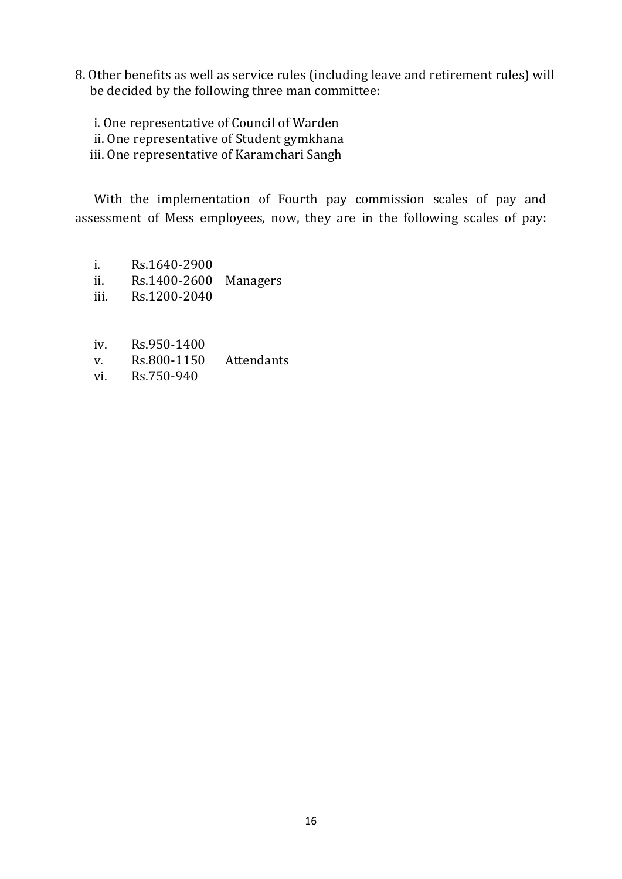8. Other benefits as well as service rules (including leave and retirement rules) will be decided by the following three man committee:

i. One representative of Council of Warden ii. One representative of Student gymkhana

iii. One representative of Karamchari Sangh

With the implementation of Fourth pay commission scales of pay and assessment of Mess employees, now, they are in the following scales of pay:

- i. Rs.1640-2900<br>ii. Rs.1400-2600
- ii. Rs.1400-2600 Managers<br>iii. Rs.1200-2040
- Rs.1200-2040
- iv. Rs.950-1400<br>v. Rs.800-1150
- v. Rs.800-1150 Attendants<br>vi. Rs.750-940
- Rs.750-940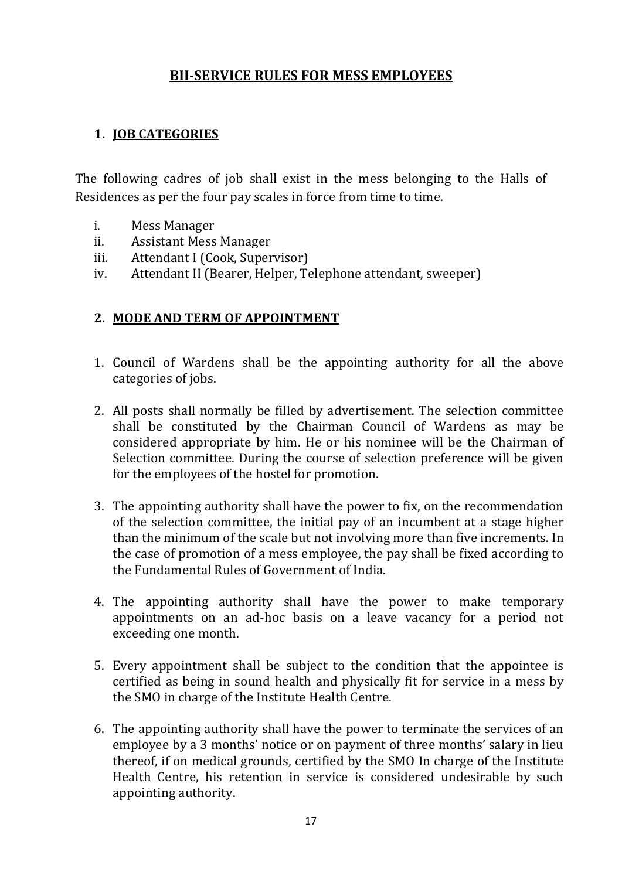# **BII-SERVICE RULES FOR MESS EMPLOYEES**

# **1. JOB CATEGORIES**

The following cadres of job shall exist in the mess belonging to the Halls of Residences as per the four pay scales in force from time to time.

- i. Mess Manager
- 
- ii. Assistant Mess Manager<br>iii. Attendant I (Cook, Super iii. Attendant I (Cook, Supervisor)<br>iv. Attendant II (Bearer, Helper, T
- Attendant II (Bearer, Helper, Telephone attendant, sweeper)

#### **2. MODE AND TERM OF APPOINTMENT**

- 1. Council of Wardens shall be the appointing authority for all the above categories of jobs.
- 2. All posts shall normally be filled by advertisement. The selection committee shall be constituted by the Chairman Council of Wardens as may be considered appropriate by him. He or his nominee will be the Chairman of Selection committee. During the course of selection preference will be given for the employees of the hostel for promotion.
- 3. The appointing authority shall have the power to fix, on the recommendation of the selection committee, the initial pay of an incumbent at a stage higher than the minimum of the scale but not involving more than five increments. In the case of promotion of a mess employee, the pay shall be fixed according to the Fundamental Rules of Government of India.
- 4. The appointing authority shall have the power to make temporary appointments on an ad-hoc basis on a leave vacancy for a period not exceeding one month.
- 5. Every appointment shall be subject to the condition that the appointee is certified as being in sound health and physically fit for service in a mess by the SMO in charge of the Institute Health Centre.
- 6. The appointing authority shall have the power to terminate the services of an employee by a 3 months' notice or on payment of three months' salary in lieu thereof, if on medical grounds, certified by the SMO In charge of the Institute Health Centre, his retention in service is considered undesirable by such appointing authority.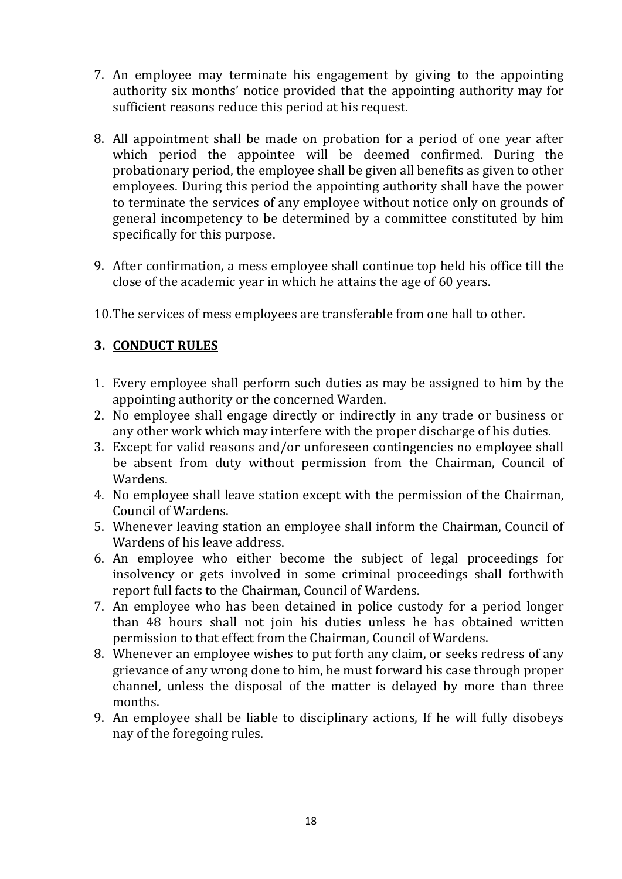- 7. An employee may terminate his engagement by giving to the appointing authority six months' notice provided that the appointing authority may for sufficient reasons reduce this period at his request.
- 8. All appointment shall be made on probation for a period of one year after which period the appointee will be deemed confirmed. During the probationary period, the employee shall be given all benefits as given to other employees. During this period the appointing authority shall have the power to terminate the services of any employee without notice only on grounds of general incompetency to be determined by a committee constituted by him specifically for this purpose.
- 9. After confirmation, a mess employee shall continue top held his office till the close of the academic year in which he attains the age of 60 years.
- 10.The services of mess employees are transferable from one hall to other.

# **3. CONDUCT RULES**

- 1. Every employee shall perform such duties as may be assigned to him by the appointing authority or the concerned Warden.
- 2. No employee shall engage directly or indirectly in any trade or business or any other work which may interfere with the proper discharge of his duties.
- 3. Except for valid reasons and/or unforeseen contingencies no employee shall be absent from duty without permission from the Chairman, Council of Wardens.
- 4. No employee shall leave station except with the permission of the Chairman, Council of Wardens.
- 5. Whenever leaving station an employee shall inform the Chairman, Council of Wardens of his leave address.
- 6. An employee who either become the subject of legal proceedings for insolvency or gets involved in some criminal proceedings shall forthwith report full facts to the Chairman, Council of Wardens.
- 7. An employee who has been detained in police custody for a period longer than 48 hours shall not join his duties unless he has obtained written permission to that effect from the Chairman, Council of Wardens.
- 8. Whenever an employee wishes to put forth any claim, or seeks redress of any grievance of any wrong done to him, he must forward his case through proper channel, unless the disposal of the matter is delayed by more than three months.
- 9. An employee shall be liable to disciplinary actions, If he will fully disobeys nay of the foregoing rules.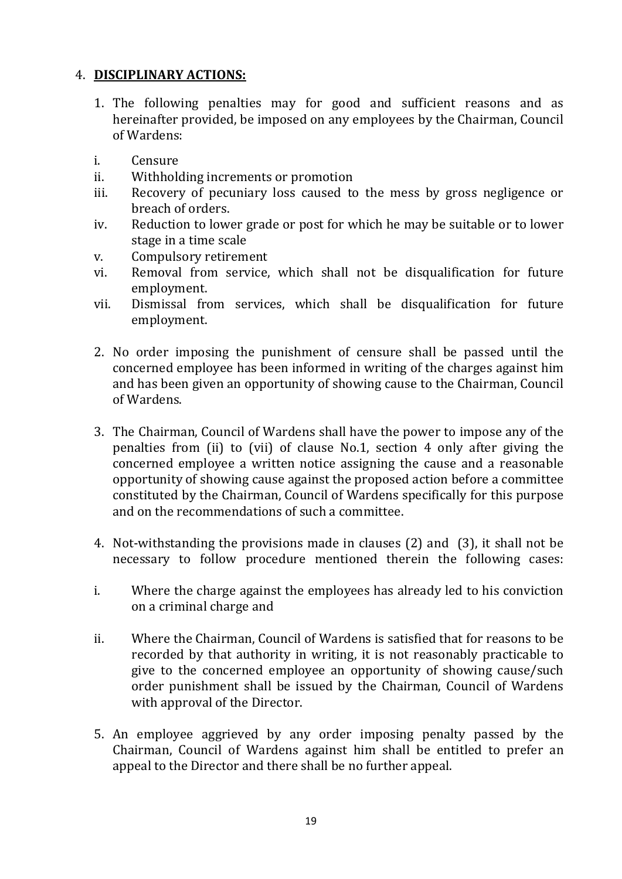#### 4. **DISCIPLINARY ACTIONS:**

- 1. The following penalties may for good and sufficient reasons and as hereinafter provided, be imposed on any employees by the Chairman, Council of Wardens:
- i. Censure<br>ii Withholo
- ii. Withholding increments or promotion<br>iii. Recovery of pecuniary loss caused to
- Recovery of pecuniary loss caused to the mess by gross negligence or breach of orders.
- iv. Reduction to lower grade or post for which he may be suitable or to lower stage in a time scale
- v. Compulsory retirement
- vi. Removal from service, which shall not be disqualification for future employment.
- vii. Dismissal from services, which shall be disqualification for future employment.
- 2. No order imposing the punishment of censure shall be passed until the concerned employee has been informed in writing of the charges against him and has been given an opportunity of showing cause to the Chairman, Council of Wardens.
- 3. The Chairman, Council of Wardens shall have the power to impose any of the penalties from (ii) to (vii) of clause No.1, section 4 only after giving the concerned employee a written notice assigning the cause and a reasonable opportunity of showing cause against the proposed action before a committee constituted by the Chairman, Council of Wardens specifically for this purpose and on the recommendations of such a committee.
- 4. Not-withstanding the provisions made in clauses (2) and (3), it shall not be necessary to follow procedure mentioned therein the following cases:
- i. Where the charge against the employees has already led to his conviction on a criminal charge and
- ii. Where the Chairman, Council of Wardens is satisfied that for reasons to be recorded by that authority in writing, it is not reasonably practicable to give to the concerned employee an opportunity of showing cause/such order punishment shall be issued by the Chairman, Council of Wardens with approval of the Director.
- 5. An employee aggrieved by any order imposing penalty passed by the Chairman, Council of Wardens against him shall be entitled to prefer an appeal to the Director and there shall be no further appeal.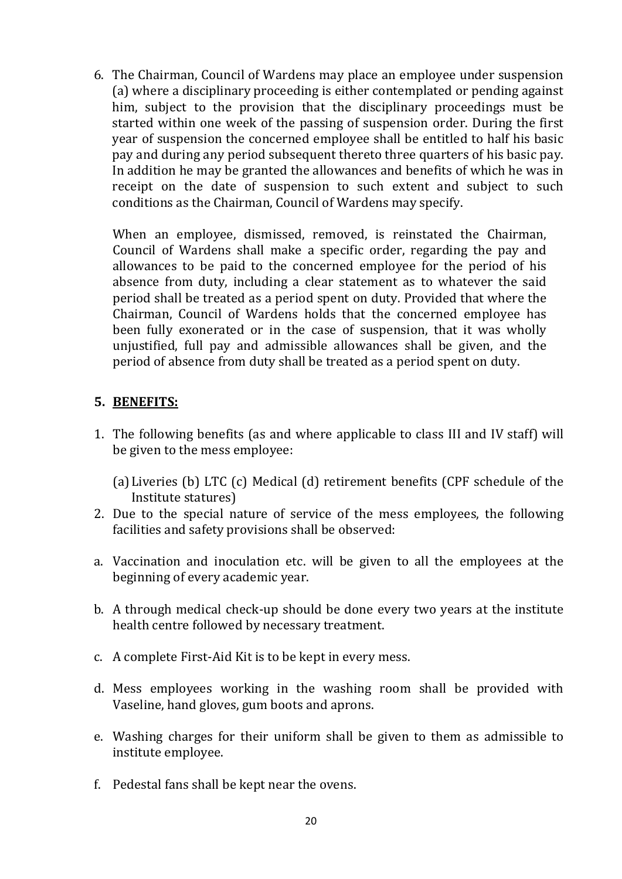6. The Chairman, Council of Wardens may place an employee under suspension (a) where a disciplinary proceeding is either contemplated or pending against him, subject to the provision that the disciplinary proceedings must be started within one week of the passing of suspension order. During the first year of suspension the concerned employee shall be entitled to half his basic pay and during any period subsequent thereto three quarters of his basic pay. In addition he may be granted the allowances and benefits of which he was in receipt on the date of suspension to such extent and subject to such conditions as the Chairman, Council of Wardens may specify.

When an employee, dismissed, removed, is reinstated the Chairman, Council of Wardens shall make a specific order, regarding the pay and allowances to be paid to the concerned employee for the period of his absence from duty, including a clear statement as to whatever the said period shall be treated as a period spent on duty. Provided that where the Chairman, Council of Wardens holds that the concerned employee has been fully exonerated or in the case of suspension, that it was wholly unjustified, full pay and admissible allowances shall be given, and the period of absence from duty shall be treated as a period spent on duty.

#### **5. BENEFITS:**

- 1. The following benefits (as and where applicable to class III and IV staff) will be given to the mess employee:
	- (a) Liveries (b) LTC (c) Medical (d) retirement benefits (CPF schedule of the Institute statures)
- 2. Due to the special nature of service of the mess employees, the following facilities and safety provisions shall be observed:
- a. Vaccination and inoculation etc. will be given to all the employees at the beginning of every academic year.
- b. A through medical check-up should be done every two years at the institute health centre followed by necessary treatment.
- c. A complete First-Aid Kit is to be kept in every mess.
- d. Mess employees working in the washing room shall be provided with Vaseline, hand gloves, gum boots and aprons.
- e. Washing charges for their uniform shall be given to them as admissible to institute employee.
- f. Pedestal fans shall be kept near the ovens.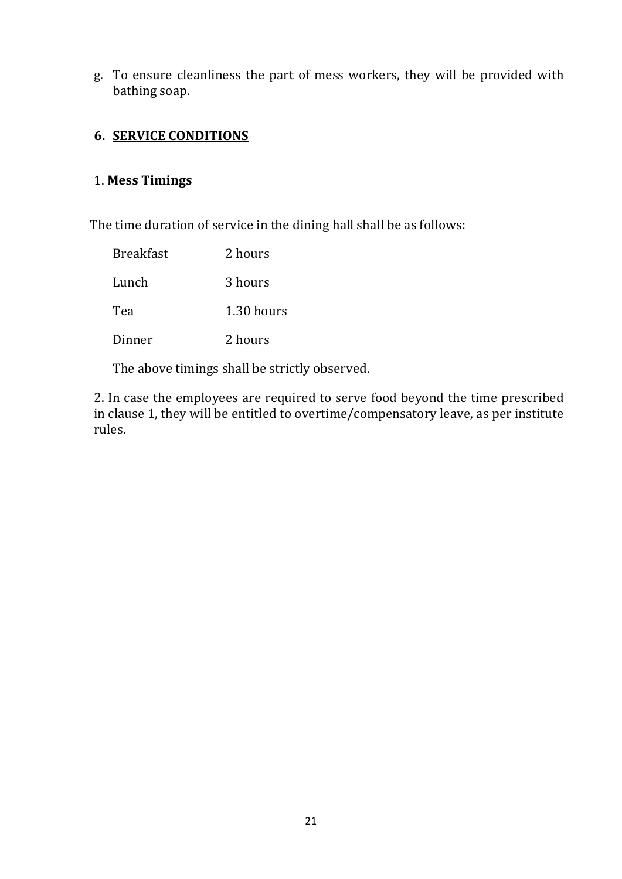g. To ensure cleanliness the part of mess workers, they will be provided with bathing soap.

### **6. SERVICE CONDITIONS**

### 1. **Mess Timings**

The time duration of service in the dining hall shall be as follows:

| Breakfast | 2 hours    |
|-----------|------------|
| Lunch     | 3 hours    |
| Tea       | 1.30 hours |
| Dinner    | 2 hours    |

The above timings shall be strictly observed.

2. In case the employees are required to serve food beyond the time prescribed in clause 1, they will be entitled to overtime/compensatory leave, as per institute rules.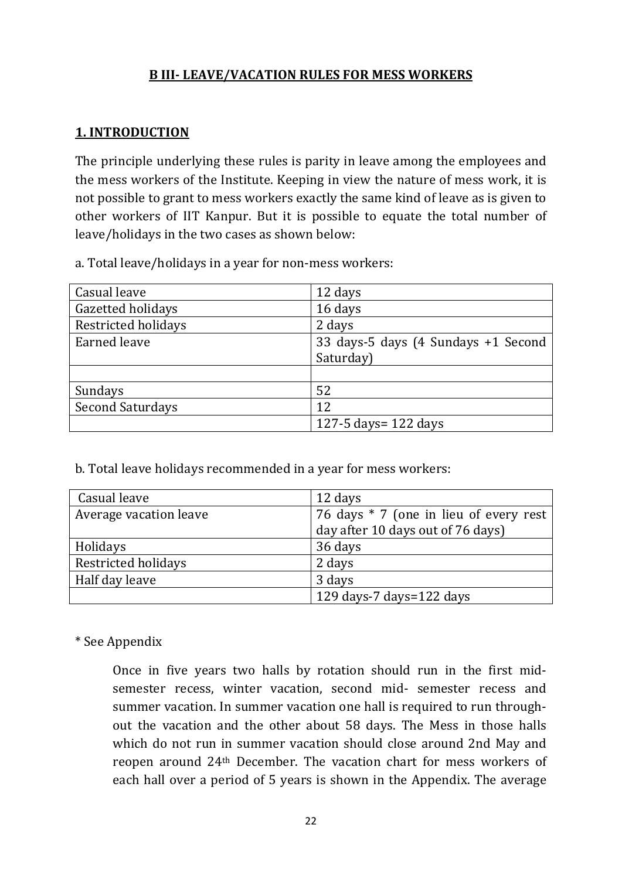### **B III- LEAVE/VACATION RULES FOR MESS WORKERS**

# **1. INTRODUCTION**

The principle underlying these rules is parity in leave among the employees and the mess workers of the Institute. Keeping in view the nature of mess work, it is not possible to grant to mess workers exactly the same kind of leave as is given to other workers of IIT Kanpur. But it is possible to equate the total number of leave/holidays in the two cases as shown below:

a. Total leave/holidays in a year for non-mess workers:

| Casual leave            | 12 days                             |
|-------------------------|-------------------------------------|
| Gazetted holidays       | 16 days                             |
| Restricted holidays     | 2 days                              |
| <b>Earned leave</b>     | 33 days-5 days (4 Sundays +1 Second |
|                         | Saturday)                           |
|                         |                                     |
| Sundays                 | 52                                  |
| <b>Second Saturdays</b> | 12                                  |
|                         | 127-5 days= $122$ days              |

b. Total leave holidays recommended in a year for mess workers:

| Casual leave           | 12 days                                |
|------------------------|----------------------------------------|
| Average vacation leave | 76 days * 7 (one in lieu of every rest |
|                        | day after 10 days out of 76 days)      |
| Holidays               | 36 days                                |
| Restricted holidays    | 2 days                                 |
| Half day leave         | 3 days                                 |
|                        | 129 days-7 days=122 days               |

#### \* See Appendix

Once in five years two halls by rotation should run in the first midsemester recess, winter vacation, second mid- semester recess and summer vacation. In summer vacation one hall is required to run throughout the vacation and the other about 58 days. The Mess in those halls which do not run in summer vacation should close around 2nd May and reopen around 24th December. The vacation chart for mess workers of each hall over a period of 5 years is shown in the Appendix. The average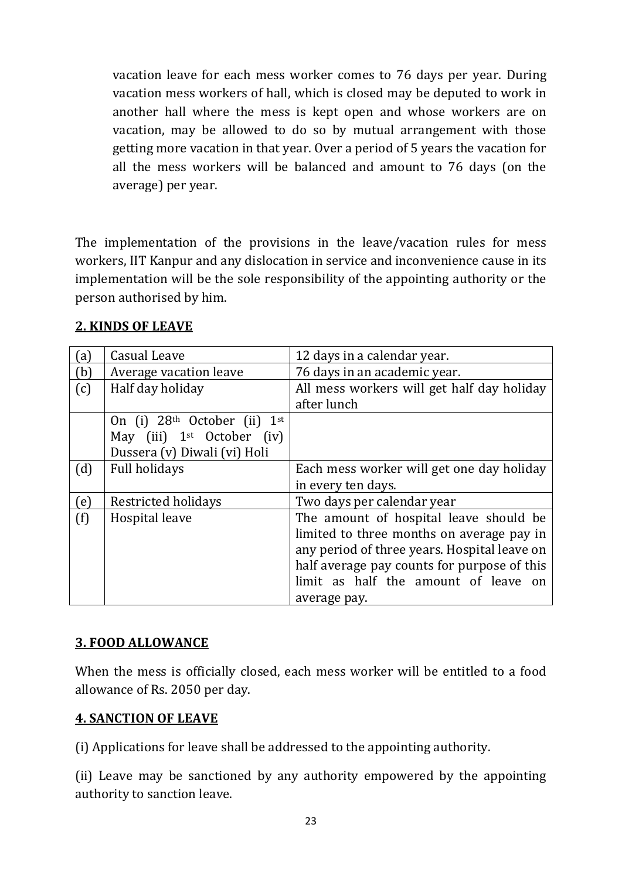vacation leave for each mess worker comes to 76 days per year. During vacation mess workers of hall, which is closed may be deputed to work in another hall where the mess is kept open and whose workers are on vacation, may be allowed to do so by mutual arrangement with those getting more vacation in that year. Over a period of 5 years the vacation for all the mess workers will be balanced and amount to 76 days (on the average) per year.

The implementation of the provisions in the leave/vacation rules for mess workers, IIT Kanpur and any dislocation in service and inconvenience cause in its implementation will be the sole responsibility of the appointing authority or the person authorised by him.

| (a) | Casual Leave                                   | 12 days in a calendar year.                  |
|-----|------------------------------------------------|----------------------------------------------|
| (b) | Average vacation leave                         | 76 days in an academic year.                 |
| (c) | Half day holiday                               | All mess workers will get half day holiday   |
|     |                                                | after lunch                                  |
|     | On (i) 28 <sup>th</sup> October (ii)<br>$1$ st |                                              |
|     | May (iii) $1st$ October (iv)                   |                                              |
|     | Dussera (v) Diwali (vi) Holi                   |                                              |
| (d) | <b>Full holidays</b>                           | Each mess worker will get one day holiday    |
|     |                                                | in every ten days.                           |
| (e) | Restricted holidays                            | Two days per calendar year                   |
| (f) | Hospital leave                                 | The amount of hospital leave should be       |
|     |                                                | limited to three months on average pay in    |
|     |                                                | any period of three years. Hospital leave on |
|     |                                                | half average pay counts for purpose of this  |
|     |                                                | limit as half the amount of leave on         |
|     |                                                | average pay.                                 |

# **2. KINDS OF LEAVE**

# **3. FOOD ALLOWANCE**

When the mess is officially closed, each mess worker will be entitled to a food allowance of Rs. 2050 per day.

#### **4. SANCTION OF LEAVE**

(i) Applications for leave shall be addressed to the appointing authority.

(ii) Leave may be sanctioned by any authority empowered by the appointing authority to sanction leave.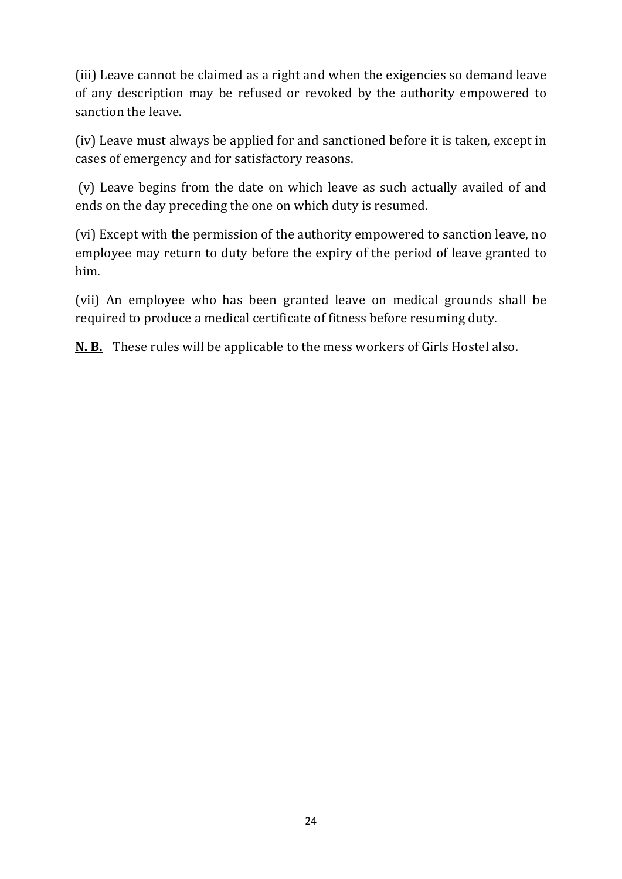(iii) Leave cannot be claimed as a right and when the exigencies so demand leave of any description may be refused or revoked by the authority empowered to sanction the leave.

(iv) Leave must always be applied for and sanctioned before it is taken, except in cases of emergency and for satisfactory reasons.

(v) Leave begins from the date on which leave as such actually availed of and ends on the day preceding the one on which duty is resumed.

(vi) Except with the permission of the authority empowered to sanction leave, no employee may return to duty before the expiry of the period of leave granted to him.

(vii) An employee who has been granted leave on medical grounds shall be required to produce a medical certificate of fitness before resuming duty.

**N. B.** These rules will be applicable to the mess workers of Girls Hostel also.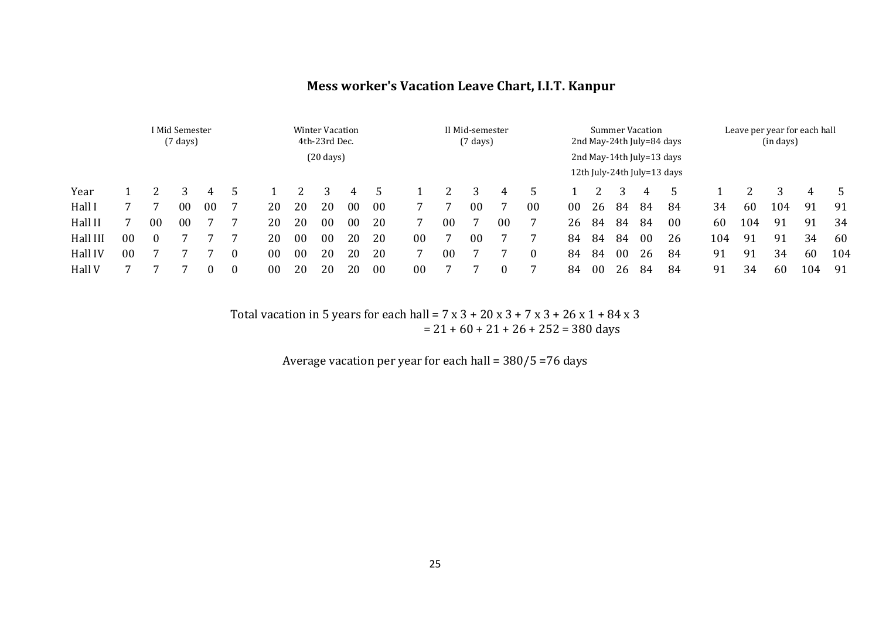#### **Mess worker's Vacation Leave Chart, I.I.T. Kanpur**

|          | I Mid Semester<br>$(7 \text{ days})$ |                |    |    |          |                     | <b>Winter Vacation</b><br>4th-23rd Dec. |                |                |    |                | II Mid-semester<br>$(7 \text{ days})$ |    |        |                                                          |    |    |    | <b>Summer Vacation</b> | 2nd May-24th July=84 days |     | Leave per year for each hall<br>(in days) |     |     |     |  |
|----------|--------------------------------------|----------------|----|----|----------|---------------------|-----------------------------------------|----------------|----------------|----|----------------|---------------------------------------|----|--------|----------------------------------------------------------|----|----|----|------------------------|---------------------------|-----|-------------------------------------------|-----|-----|-----|--|
|          |                                      |                |    |    |          | $(20 \text{ days})$ |                                         |                |                |    |                |                                       |    |        | 2nd May-14th July=13 days<br>12th July-24th July=13 days |    |    |    |                        |                           |     |                                           |     |     |     |  |
| Year     |                                      |                |    | 4  |          |                     |                                         |                | 4              |    |                |                                       |    | 4      | 5                                                        |    |    |    | 4                      | 5                         |     |                                           |     | 4   | .5  |  |
| Hall I   |                                      |                | 00 | 00 |          | 20                  | 20                                      | 20             | 0 <sub>0</sub> | 00 |                |                                       | 00 |        | 00                                                       | 00 | 26 | 84 | 84                     | 84                        | 34  | 60                                        | 104 | 91  | 91  |  |
| Hall II  |                                      | 00             | 00 |    |          | 20                  | 20                                      | 0 <sub>0</sub> | 0 <sub>0</sub> | 20 |                | 00                                    |    | $00\,$ | 7                                                        | 26 | 84 | 84 | 84                     | 00                        | 60  | 104                                       | 91  | 91  | 34  |  |
| Hall III | 0 <sub>0</sub>                       | $\overline{ }$ |    |    |          | 20                  | 0 <sub>0</sub>                          | $00\,$         | 20             | 20 | 0 <sub>0</sub> |                                       | 00 |        |                                                          | 84 | 84 | 84 | 00                     | 26                        | 104 | 91                                        | 91  | 34  | 60  |  |
| Hall IV  | 00                                   |                |    |    |          | 0 <sub>0</sub>      | 0 <sub>0</sub>                          | 20             | 20             | 20 |                | 00                                    |    |        | $\bf{0}$                                                 | 84 | 84 | 00 | 26                     | 84                        | 91  | 91                                        | 34  | 60  | 104 |  |
| Hall V   |                                      |                |    |    | $\theta$ | 0 <sub>0</sub>      | 20                                      | 20             | 20             | 00 | 00             |                                       |    | 0      |                                                          | 84 | 00 | 26 | 84                     | 84                        | 91  | 34                                        | 60  | 104 | 91  |  |

Total vacation in 5 years for each hall =  $7 \times 3 + 20 \times 3 + 7 \times 3 + 26 \times 1 + 84 \times 3$  $= 21 + 60 + 21 + 26 + 252 = 380$  days

Average vacation per year for each hall = 380/5 =76 days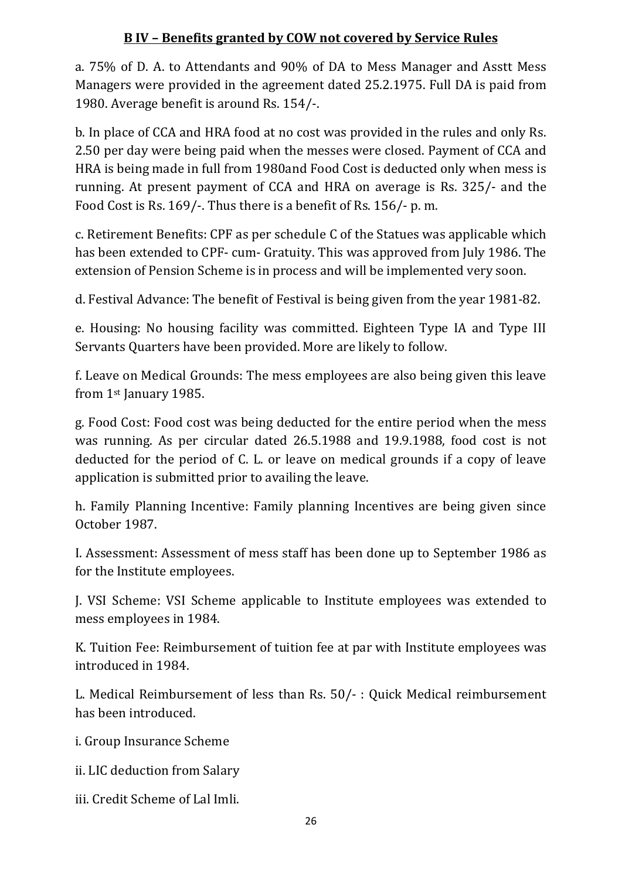# **B IV – Benefits granted by COW not covered by Service Rules**

a. 75% of D. A. to Attendants and 90% of DA to Mess Manager and Asstt Mess Managers were provided in the agreement dated 25.2.1975. Full DA is paid from 1980. Average benefit is around Rs. 154/-.

b. In place of CCA and HRA food at no cost was provided in the rules and only Rs. 2.50 per day were being paid when the messes were closed. Payment of CCA and HRA is being made in full from 1980and Food Cost is deducted only when mess is running. At present payment of CCA and HRA on average is Rs. 325/- and the Food Cost is Rs. 169/-. Thus there is a benefit of Rs. 156/- p. m.

c. Retirement Benefits: CPF as per schedule C of the Statues was applicable which has been extended to CPF- cum- Gratuity. This was approved from July 1986. The extension of Pension Scheme is in process and will be implemented very soon.

d. Festival Advance: The benefit of Festival is being given from the year 1981-82.

e. Housing: No housing facility was committed. Eighteen Type IA and Type III Servants Quarters have been provided. More are likely to follow.

f. Leave on Medical Grounds: The mess employees are also being given this leave from 1st January 1985.

g. Food Cost: Food cost was being deducted for the entire period when the mess was running. As per circular dated 26.5.1988 and 19.9.1988, food cost is not deducted for the period of C. L. or leave on medical grounds if a copy of leave application is submitted prior to availing the leave.

h. Family Planning Incentive: Family planning Incentives are being given since October 1987.

I. Assessment: Assessment of mess staff has been done up to September 1986 as for the Institute employees.

J. VSI Scheme: VSI Scheme applicable to Institute employees was extended to mess employees in 1984.

K. Tuition Fee: Reimbursement of tuition fee at par with Institute employees was introduced in 1984.

L. Medical Reimbursement of less than Rs. 50/- : Quick Medical reimbursement has been introduced.

i. Group Insurance Scheme

ii. LIC deduction from Salary

iii. Credit Scheme of Lal Imli.